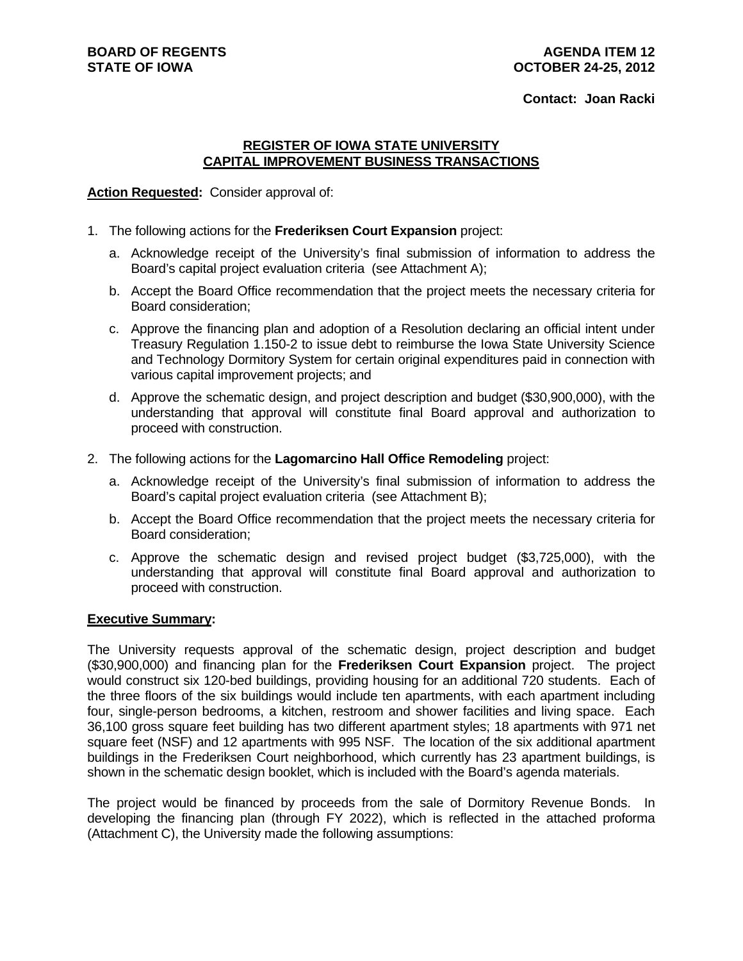### **Contact: Joan Racki**

### **REGISTER OF IOWA STATE UNIVERSITY CAPITAL IMPROVEMENT BUSINESS TRANSACTIONS**

### **Action Requested:** Consider approval of:

- 1. The following actions for the **Frederiksen Court Expansion** project:
	- a. Acknowledge receipt of the University's final submission of information to address the Board's capital project evaluation criteria (see Attachment A);
	- b. Accept the Board Office recommendation that the project meets the necessary criteria for Board consideration;
	- c. Approve the financing plan and adoption of a Resolution declaring an official intent under Treasury Regulation 1.150-2 to issue debt to reimburse the Iowa State University Science and Technology Dormitory System for certain original expenditures paid in connection with various capital improvement projects; and
	- d. Approve the schematic design, and project description and budget (\$30,900,000), with the understanding that approval will constitute final Board approval and authorization to proceed with construction.
- 2. The following actions for the **Lagomarcino Hall Office Remodeling** project:
	- a. Acknowledge receipt of the University's final submission of information to address the Board's capital project evaluation criteria (see Attachment B);
	- b. Accept the Board Office recommendation that the project meets the necessary criteria for Board consideration;
	- c. Approve the schematic design and revised project budget (\$3,725,000), with the understanding that approval will constitute final Board approval and authorization to proceed with construction.

## **Executive Summary:**

The University requests approval of the schematic design, project description and budget (\$30,900,000) and financing plan for the **Frederiksen Court Expansion** project. The project would construct six 120-bed buildings, providing housing for an additional 720 students. Each of the three floors of the six buildings would include ten apartments, with each apartment including four, single-person bedrooms, a kitchen, restroom and shower facilities and living space. Each 36,100 gross square feet building has two different apartment styles; 18 apartments with 971 net square feet (NSF) and 12 apartments with 995 NSF. The location of the six additional apartment buildings in the Frederiksen Court neighborhood, which currently has 23 apartment buildings, is shown in the schematic design booklet, which is included with the Board's agenda materials.

The project would be financed by proceeds from the sale of Dormitory Revenue Bonds. In developing the financing plan (through FY 2022), which is reflected in the attached proforma (Attachment C), the University made the following assumptions: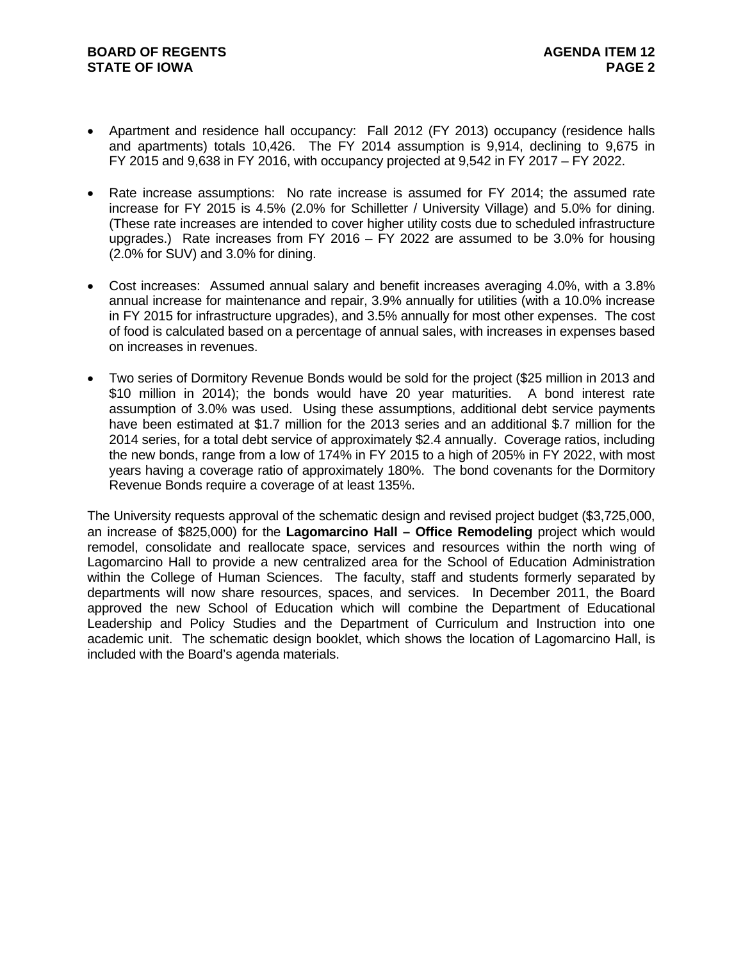- Apartment and residence hall occupancy: Fall 2012 (FY 2013) occupancy (residence halls and apartments) totals 10,426. The FY 2014 assumption is 9,914, declining to 9,675 in FY 2015 and 9,638 in FY 2016, with occupancy projected at 9,542 in FY 2017 – FY 2022.
- Rate increase assumptions: No rate increase is assumed for FY 2014; the assumed rate increase for FY 2015 is 4.5% (2.0% for Schilletter / University Village) and 5.0% for dining. (These rate increases are intended to cover higher utility costs due to scheduled infrastructure upgrades.) Rate increases from FY 2016 – FY 2022 are assumed to be 3.0% for housing (2.0% for SUV) and 3.0% for dining.
- Cost increases: Assumed annual salary and benefit increases averaging 4.0%, with a 3.8% annual increase for maintenance and repair, 3.9% annually for utilities (with a 10.0% increase in FY 2015 for infrastructure upgrades), and 3.5% annually for most other expenses. The cost of food is calculated based on a percentage of annual sales, with increases in expenses based on increases in revenues.
- Two series of Dormitory Revenue Bonds would be sold for the project (\$25 million in 2013 and \$10 million in 2014); the bonds would have 20 year maturities. A bond interest rate assumption of 3.0% was used. Using these assumptions, additional debt service payments have been estimated at \$1.7 million for the 2013 series and an additional \$.7 million for the 2014 series, for a total debt service of approximately \$2.4 annually. Coverage ratios, including the new bonds, range from a low of 174% in FY 2015 to a high of 205% in FY 2022, with most years having a coverage ratio of approximately 180%. The bond covenants for the Dormitory Revenue Bonds require a coverage of at least 135%.

The University requests approval of the schematic design and revised project budget (\$3,725,000, an increase of \$825,000) for the **Lagomarcino Hall – Office Remodeling** project which would remodel, consolidate and reallocate space, services and resources within the north wing of Lagomarcino Hall to provide a new centralized area for the School of Education Administration within the College of Human Sciences. The faculty, staff and students formerly separated by departments will now share resources, spaces, and services. In December 2011, the Board approved the new School of Education which will combine the Department of Educational Leadership and Policy Studies and the Department of Curriculum and Instruction into one academic unit. The schematic design booklet, which shows the location of Lagomarcino Hall, is included with the Board's agenda materials.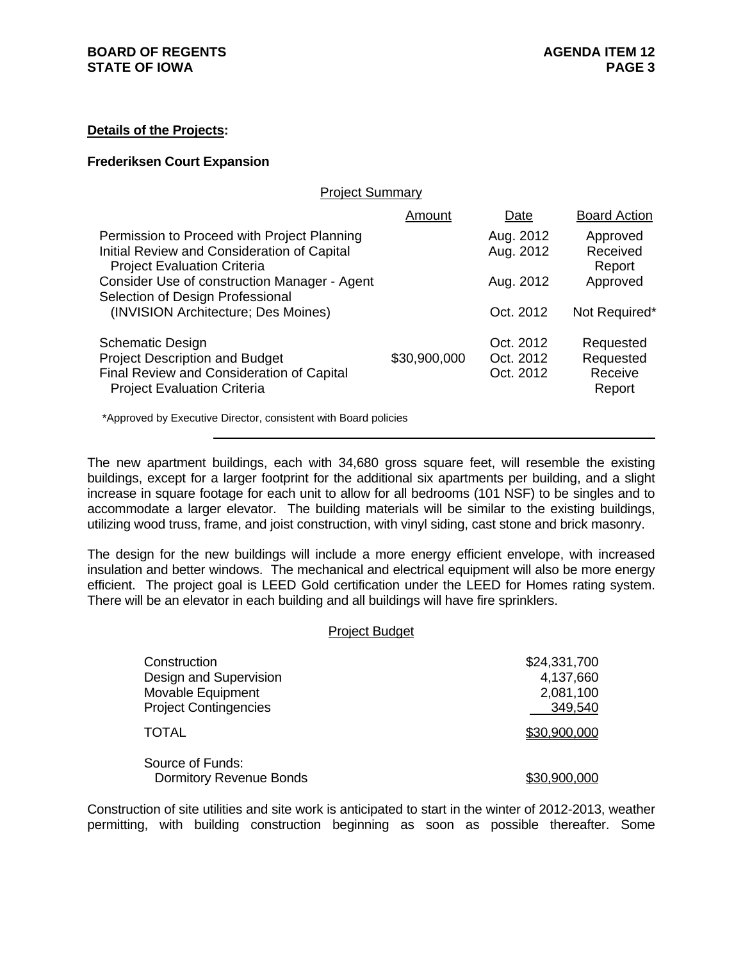## **Details of the Projects:**

#### **Frederiksen Court Expansion**

|  | <b>Project Summary</b> |
|--|------------------------|
|  |                        |

|                                                                                                                                  | Amount       | Date                   | <b>Board Action</b>            |
|----------------------------------------------------------------------------------------------------------------------------------|--------------|------------------------|--------------------------------|
| Permission to Proceed with Project Planning<br>Initial Review and Consideration of Capital<br><b>Project Evaluation Criteria</b> |              | Aug. 2012<br>Aug. 2012 | Approved<br>Received<br>Report |
| Consider Use of construction Manager - Agent<br>Selection of Design Professional                                                 |              | Aug. 2012              | Approved                       |
| (INVISION Architecture; Des Moines)                                                                                              |              | Oct. 2012              | Not Required*                  |
| <b>Schematic Design</b>                                                                                                          |              | Oct. 2012              | Requested                      |
| <b>Project Description and Budget</b>                                                                                            | \$30,900,000 | Oct. 2012              | Requested                      |
| Final Review and Consideration of Capital<br><b>Project Evaluation Criteria</b>                                                  |              | Oct. 2012              | Receive<br>Report              |
|                                                                                                                                  |              |                        |                                |

\*Approved by Executive Director, consistent with Board policies

The new apartment buildings, each with 34,680 gross square feet, will resemble the existing buildings, except for a larger footprint for the additional six apartments per building, and a slight increase in square footage for each unit to allow for all bedrooms (101 NSF) to be singles and to accommodate a larger elevator. The building materials will be similar to the existing buildings, utilizing wood truss, frame, and joist construction, with vinyl siding, cast stone and brick masonry.

The design for the new buildings will include a more energy efficient envelope, with increased insulation and better windows. The mechanical and electrical equipment will also be more energy efficient. The project goal is LEED Gold certification under the LEED for Homes rating system. There will be an elevator in each building and all buildings will have fire sprinklers.

#### Project Budget

| Construction                   | \$24,331,700 |
|--------------------------------|--------------|
| Design and Supervision         | 4,137,660    |
| Movable Equipment              | 2,081,100    |
| <b>Project Contingencies</b>   | 349,540      |
| TOTAL                          | \$30,900,000 |
| Source of Funds:               |              |
| <b>Dormitory Revenue Bonds</b> | \$30,900,000 |

Construction of site utilities and site work is anticipated to start in the winter of 2012-2013, weather permitting, with building construction beginning as soon as possible thereafter. Some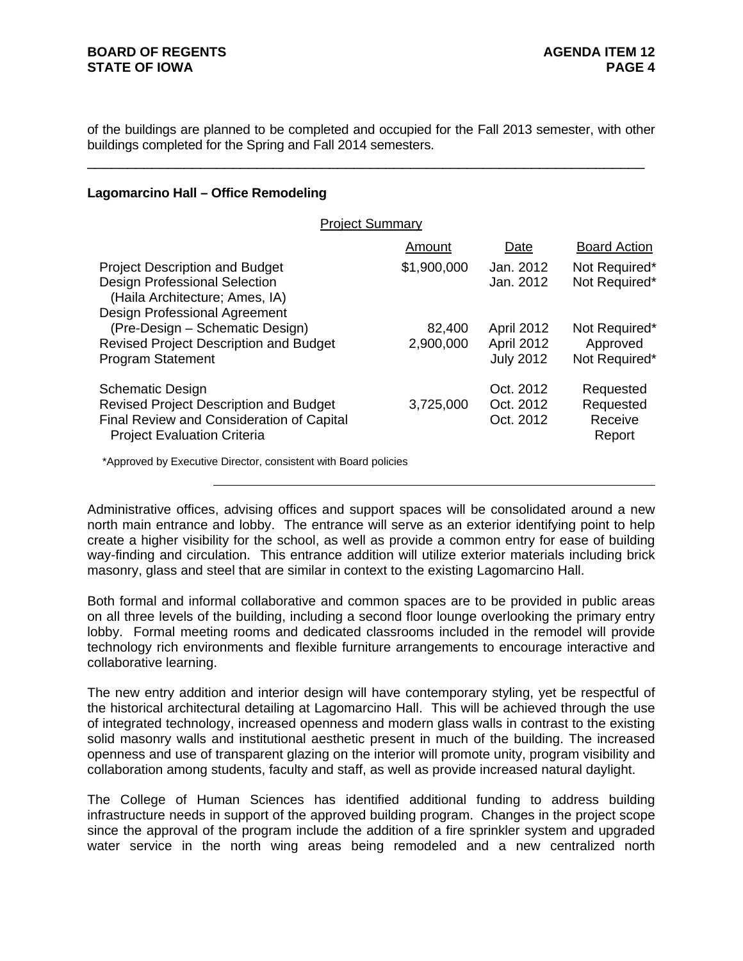of the buildings are planned to be completed and occupied for the Fall 2013 semester, with other buildings completed for the Spring and Fall 2014 semesters.

\_\_\_\_\_\_\_\_\_\_\_\_\_\_\_\_\_\_\_\_\_\_\_\_\_\_\_\_\_\_\_\_\_\_\_\_\_\_\_\_\_\_\_\_\_\_\_\_\_\_\_\_\_\_\_\_\_\_\_\_\_\_\_\_\_\_\_\_\_

## **Lagomarcino Hall – Office Remodeling**

| <b>Project Summary</b>                                                                                                                                      |                     |                                              |                                             |
|-------------------------------------------------------------------------------------------------------------------------------------------------------------|---------------------|----------------------------------------------|---------------------------------------------|
|                                                                                                                                                             | Amount              | Date                                         | <b>Board Action</b>                         |
| <b>Project Description and Budget</b><br><b>Design Professional Selection</b><br>(Haila Architecture; Ames, IA)<br><b>Design Professional Agreement</b>     | \$1,900,000         | Jan. 2012<br>Jan. 2012                       | Not Required*<br>Not Required*              |
| (Pre-Design - Schematic Design)<br><b>Revised Project Description and Budget</b><br><b>Program Statement</b>                                                | 82,400<br>2,900,000 | April 2012<br>April 2012<br><b>July 2012</b> | Not Required*<br>Approved<br>Not Required*  |
| <b>Schematic Design</b><br><b>Revised Project Description and Budget</b><br>Final Review and Consideration of Capital<br><b>Project Evaluation Criteria</b> | 3,725,000           | Oct. 2012<br>Oct. 2012<br>Oct. 2012          | Requested<br>Requested<br>Receive<br>Report |
| *Approved by Executive Director, consistent with Board policies                                                                                             |                     |                                              |                                             |

Administrative offices, advising offices and support spaces will be consolidated around a new north main entrance and lobby. The entrance will serve as an exterior identifying point to help create a higher visibility for the school, as well as provide a common entry for ease of building way-finding and circulation. This entrance addition will utilize exterior materials including brick masonry, glass and steel that are similar in context to the existing Lagomarcino Hall.

Both formal and informal collaborative and common spaces are to be provided in public areas on all three levels of the building, including a second floor lounge overlooking the primary entry lobby. Formal meeting rooms and dedicated classrooms included in the remodel will provide technology rich environments and flexible furniture arrangements to encourage interactive and collaborative learning.

The new entry addition and interior design will have contemporary styling, yet be respectful of the historical architectural detailing at Lagomarcino Hall. This will be achieved through the use of integrated technology, increased openness and modern glass walls in contrast to the existing solid masonry walls and institutional aesthetic present in much of the building. The increased openness and use of transparent glazing on the interior will promote unity, program visibility and collaboration among students, faculty and staff, as well as provide increased natural daylight.

The College of Human Sciences has identified additional funding to address building infrastructure needs in support of the approved building program. Changes in the project scope since the approval of the program include the addition of a fire sprinkler system and upgraded water service in the north wing areas being remodeled and a new centralized north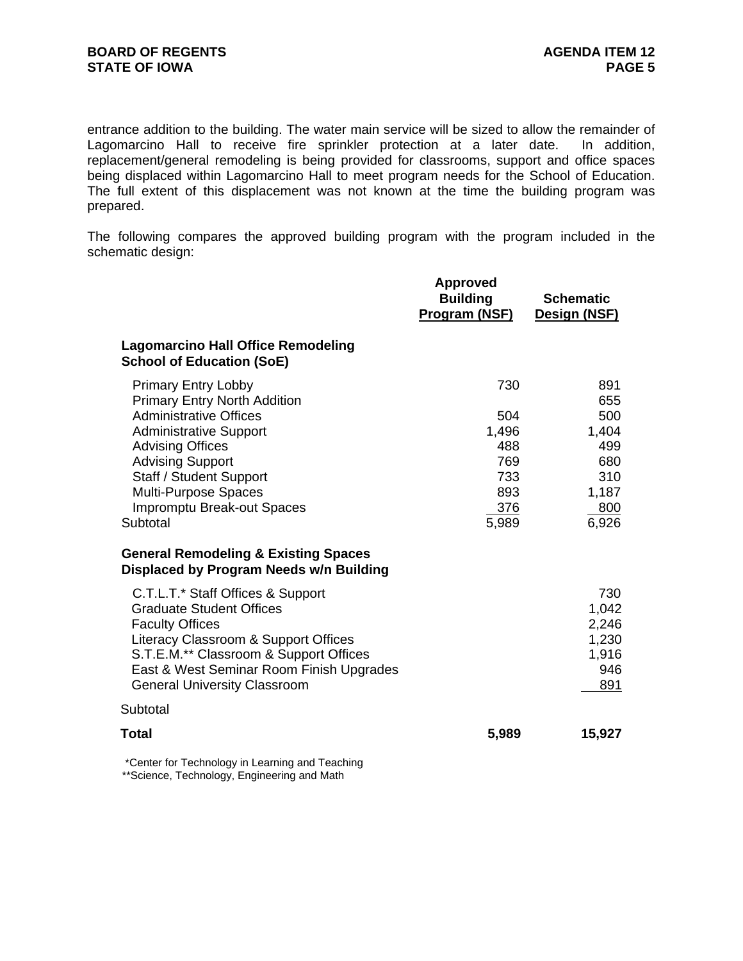entrance addition to the building. The water main service will be sized to allow the remainder of Lagomarcino Hall to receive fire sprinkler protection at a later date. In addition, replacement/general remodeling is being provided for classrooms, support and office spaces being displaced within Lagomarcino Hall to meet program needs for the School of Education. The full extent of this displacement was not known at the time the building program was prepared.

The following compares the approved building program with the program included in the schematic design:

|                                                                                                                                                                                                                                                                                        | <b>Approved</b><br><b>Building</b><br>Program (NSF)             | <b>Schematic</b><br>Design (NSF)                                         |
|----------------------------------------------------------------------------------------------------------------------------------------------------------------------------------------------------------------------------------------------------------------------------------------|-----------------------------------------------------------------|--------------------------------------------------------------------------|
| <b>Lagomarcino Hall Office Remodeling</b><br><b>School of Education (SoE)</b>                                                                                                                                                                                                          |                                                                 |                                                                          |
| <b>Primary Entry Lobby</b><br><b>Primary Entry North Addition</b><br><b>Administrative Offices</b><br><b>Administrative Support</b><br><b>Advising Offices</b><br><b>Advising Support</b><br>Staff / Student Support<br>Multi-Purpose Spaces<br>Impromptu Break-out Spaces<br>Subtotal | 730<br>504<br>1,496<br>488<br>769<br>733<br>893<br>376<br>5,989 | 891<br>655<br>500<br>1,404<br>499<br>680<br>310<br>1,187<br>800<br>6,926 |
| <b>General Remodeling &amp; Existing Spaces</b><br>Displaced by Program Needs w/n Building                                                                                                                                                                                             |                                                                 |                                                                          |
| C.T.L.T.* Staff Offices & Support<br><b>Graduate Student Offices</b><br><b>Faculty Offices</b><br>Literacy Classroom & Support Offices<br>S.T.E.M.** Classroom & Support Offices<br>East & West Seminar Room Finish Upgrades<br><b>General University Classroom</b>                    |                                                                 | 730<br>1,042<br>2,246<br>1,230<br>1,916<br>946<br>891                    |
| Subtotal                                                                                                                                                                                                                                                                               |                                                                 |                                                                          |
| <b>Total</b>                                                                                                                                                                                                                                                                           | 5,989                                                           | 15,927                                                                   |
| *Center for Technology in Learning and Teaching                                                                                                                                                                                                                                        |                                                                 |                                                                          |

\*\*Science, Technology, Engineering and Math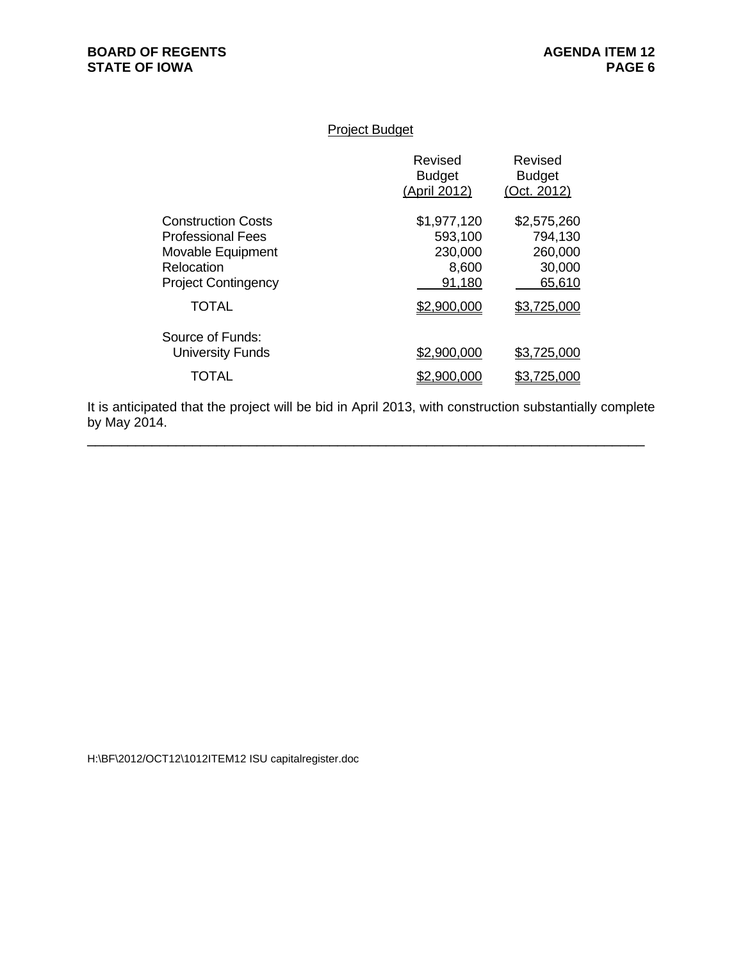# Project Budget

|                                                                                                                 | Revised<br><b>Budget</b><br>(April 2012)             | Revised<br><b>Budget</b><br>(Oct. 2012)               |
|-----------------------------------------------------------------------------------------------------------------|------------------------------------------------------|-------------------------------------------------------|
| <b>Construction Costs</b><br>Professional Fees<br>Movable Equipment<br>Relocation<br><b>Project Contingency</b> | \$1,977,120<br>593,100<br>230,000<br>8,600<br>91,180 | \$2,575,260<br>794,130<br>260,000<br>30,000<br>65,610 |
| <b>TOTAL</b>                                                                                                    | \$2,900,000                                          | \$3,725,000                                           |
| Source of Funds:<br><b>University Funds</b><br>TOTAL                                                            | \$2,900,000<br>\$2.900.000                           | \$3,725,000<br>\$3,725,000                            |
|                                                                                                                 |                                                      |                                                       |

It is anticipated that the project will be bid in April 2013, with construction substantially complete by May 2014.

 $\overline{a}$  , and the contribution of the contribution of the contribution of the contribution of the contribution of  $\overline{a}$ 

H:\BF\2012/OCT12\1012ITEM12 ISU capitalregister.doc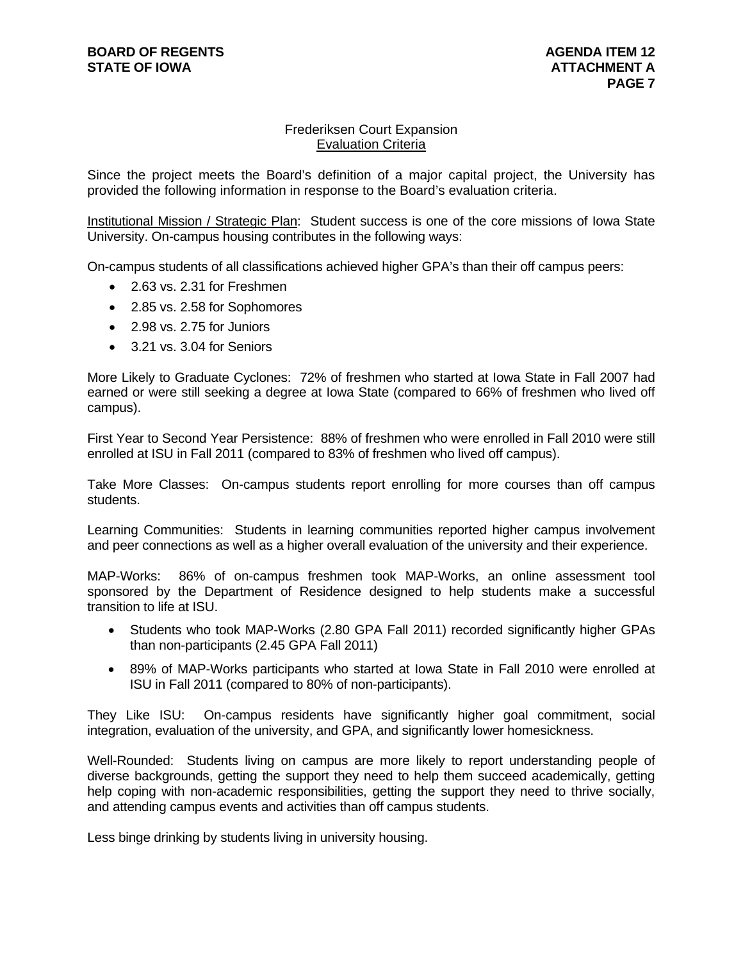# Frederiksen Court Expansion Evaluation Criteria

Since the project meets the Board's definition of a major capital project, the University has provided the following information in response to the Board's evaluation criteria.

Institutional Mission / Strategic Plan: Student success is one of the core missions of Iowa State University. On-campus housing contributes in the following ways:

On-campus students of all classifications achieved higher GPA's than their off campus peers:

- 2.63 vs. 2.31 for Freshmen
- 2.85 vs. 2.58 for Sophomores
- 2.98 vs. 2.75 for Juniors
- 3.21 vs. 3.04 for Seniors

More Likely to Graduate Cyclones: 72% of freshmen who started at Iowa State in Fall 2007 had earned or were still seeking a degree at Iowa State (compared to 66% of freshmen who lived off campus).

First Year to Second Year Persistence: 88% of freshmen who were enrolled in Fall 2010 were still enrolled at ISU in Fall 2011 (compared to 83% of freshmen who lived off campus).

Take More Classes: On-campus students report enrolling for more courses than off campus students.

Learning Communities: Students in learning communities reported higher campus involvement and peer connections as well as a higher overall evaluation of the university and their experience.

MAP-Works: 86% of on-campus freshmen took MAP-Works, an online assessment tool sponsored by the Department of Residence designed to help students make a successful transition to life at ISU.

- Students who took MAP-Works (2.80 GPA Fall 2011) recorded significantly higher GPAs than non-participants (2.45 GPA Fall 2011)
- 89% of MAP-Works participants who started at Iowa State in Fall 2010 were enrolled at ISU in Fall 2011 (compared to 80% of non-participants).

They Like ISU: On-campus residents have significantly higher goal commitment, social integration, evaluation of the university, and GPA, and significantly lower homesickness.

Well-Rounded: Students living on campus are more likely to report understanding people of diverse backgrounds, getting the support they need to help them succeed academically, getting help coping with non-academic responsibilities, getting the support they need to thrive socially, and attending campus events and activities than off campus students.

Less binge drinking by students living in university housing.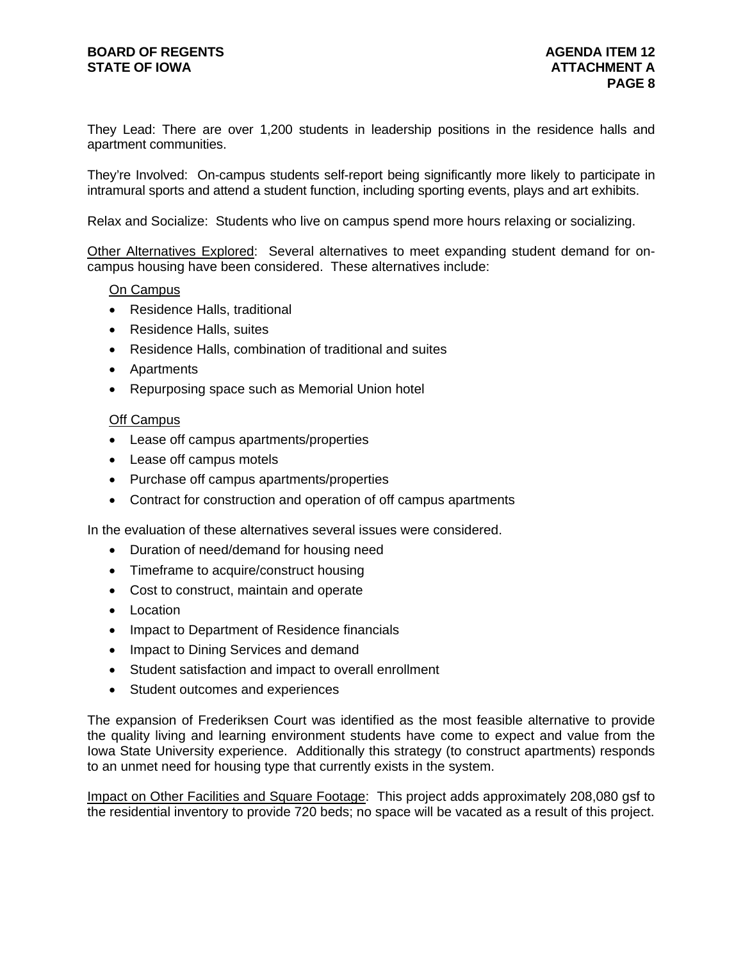# **BOARD OF REGENTS AGENUS AGENDA ITEM 12 STATE OF IOWA** AND **ATTACHMENT A**

They Lead: There are over 1,200 students in leadership positions in the residence halls and apartment communities.

They're Involved: On-campus students self-report being significantly more likely to participate in intramural sports and attend a student function, including sporting events, plays and art exhibits.

Relax and Socialize: Students who live on campus spend more hours relaxing or socializing.

Other Alternatives Explored: Several alternatives to meet expanding student demand for oncampus housing have been considered. These alternatives include:

#### On Campus

- Residence Halls, traditional
- Residence Halls, suites
- Residence Halls, combination of traditional and suites
- Apartments
- Repurposing space such as Memorial Union hotel

# **Off Campus**

- Lease off campus apartments/properties
- Lease off campus motels
- Purchase off campus apartments/properties
- Contract for construction and operation of off campus apartments

In the evaluation of these alternatives several issues were considered.

- Duration of need/demand for housing need
- Timeframe to acquire/construct housing
- Cost to construct, maintain and operate
- $\bullet$  Location
- Impact to Department of Residence financials
- Impact to Dining Services and demand
- Student satisfaction and impact to overall enrollment
- Student outcomes and experiences

The expansion of Frederiksen Court was identified as the most feasible alternative to provide the quality living and learning environment students have come to expect and value from the Iowa State University experience. Additionally this strategy (to construct apartments) responds to an unmet need for housing type that currently exists in the system.

Impact on Other Facilities and Square Footage: This project adds approximately 208,080 gsf to the residential inventory to provide 720 beds; no space will be vacated as a result of this project.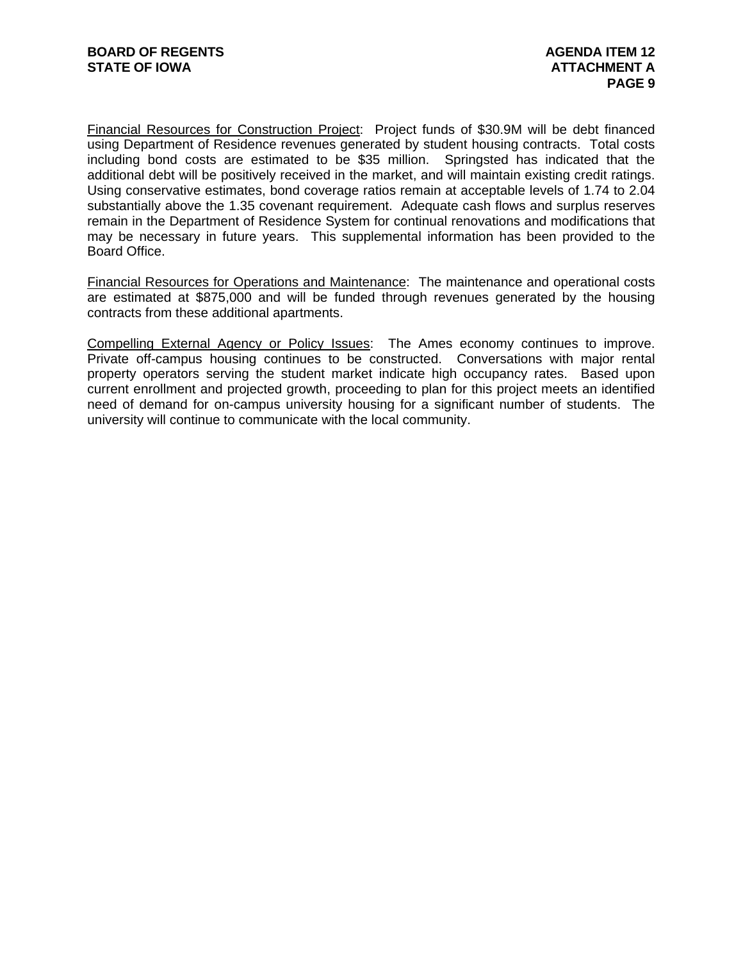Financial Resources for Construction Project: Project funds of \$30.9M will be debt financed using Department of Residence revenues generated by student housing contracts. Total costs including bond costs are estimated to be \$35 million. Springsted has indicated that the additional debt will be positively received in the market, and will maintain existing credit ratings. Using conservative estimates, bond coverage ratios remain at acceptable levels of 1.74 to 2.04 substantially above the 1.35 covenant requirement. Adequate cash flows and surplus reserves remain in the Department of Residence System for continual renovations and modifications that may be necessary in future years. This supplemental information has been provided to the Board Office.

Financial Resources for Operations and Maintenance: The maintenance and operational costs are estimated at \$875,000 and will be funded through revenues generated by the housing contracts from these additional apartments.

Compelling External Agency or Policy Issues: The Ames economy continues to improve. Private off-campus housing continues to be constructed. Conversations with major rental property operators serving the student market indicate high occupancy rates. Based upon current enrollment and projected growth, proceeding to plan for this project meets an identified need of demand for on-campus university housing for a significant number of students. The university will continue to communicate with the local community.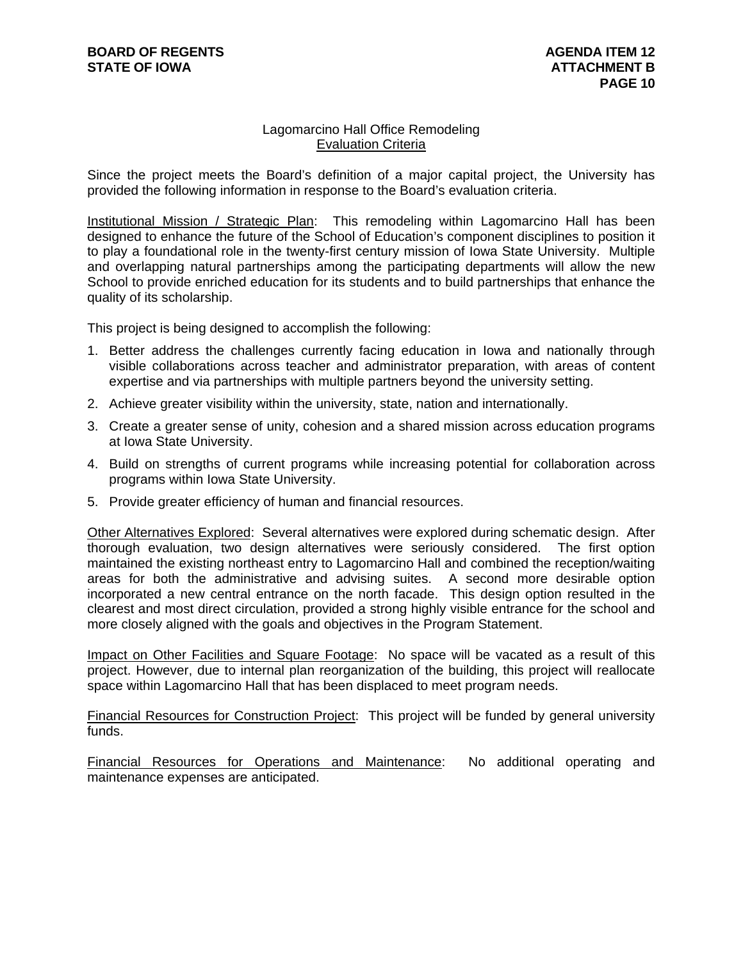# Lagomarcino Hall Office Remodeling Evaluation Criteria

Since the project meets the Board's definition of a major capital project, the University has provided the following information in response to the Board's evaluation criteria.

Institutional Mission / Strategic Plan: This remodeling within Lagomarcino Hall has been designed to enhance the future of the School of Education's component disciplines to position it to play a foundational role in the twenty-first century mission of Iowa State University. Multiple and overlapping natural partnerships among the participating departments will allow the new School to provide enriched education for its students and to build partnerships that enhance the quality of its scholarship.

This project is being designed to accomplish the following:

- 1. Better address the challenges currently facing education in Iowa and nationally through visible collaborations across teacher and administrator preparation, with areas of content expertise and via partnerships with multiple partners beyond the university setting.
- 2. Achieve greater visibility within the university, state, nation and internationally.
- 3. Create a greater sense of unity, cohesion and a shared mission across education programs at Iowa State University.
- 4. Build on strengths of current programs while increasing potential for collaboration across programs within Iowa State University.
- 5. Provide greater efficiency of human and financial resources.

Other Alternatives Explored: Several alternatives were explored during schematic design. After thorough evaluation, two design alternatives were seriously considered. The first option maintained the existing northeast entry to Lagomarcino Hall and combined the reception/waiting areas for both the administrative and advising suites. A second more desirable option incorporated a new central entrance on the north facade. This design option resulted in the clearest and most direct circulation, provided a strong highly visible entrance for the school and more closely aligned with the goals and objectives in the Program Statement.

Impact on Other Facilities and Square Footage: No space will be vacated as a result of this project. However, due to internal plan reorganization of the building, this project will reallocate space within Lagomarcino Hall that has been displaced to meet program needs.

Financial Resources for Construction Project: This project will be funded by general university funds.

Financial Resources for Operations and Maintenance: No additional operating and maintenance expenses are anticipated.